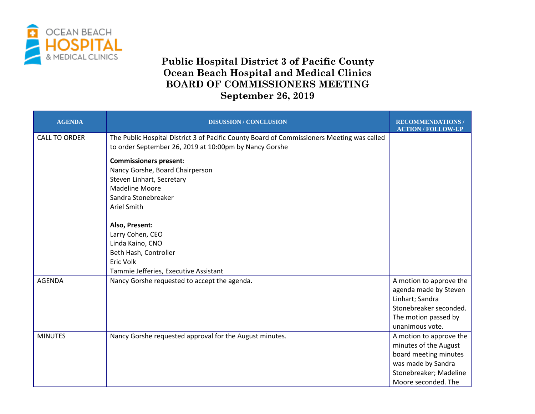

## **Public Hospital District 3 of Pacific County Ocean Beach Hospital and Medical Clinics BOARD OF COMMISSIONERS MEETING September 26, 2019**

| <b>AGENDA</b>        | <b>DISUSSION / CONCLUSION</b>                                                                                                                                | <b>RECOMMENDATIONS</b><br><b>ACTION / FOLLOW-UP</b>                                                                                              |
|----------------------|--------------------------------------------------------------------------------------------------------------------------------------------------------------|--------------------------------------------------------------------------------------------------------------------------------------------------|
| <b>CALL TO ORDER</b> | The Public Hospital District 3 of Pacific County Board of Commissioners Meeting was called<br>to order September 26, 2019 at 10:00pm by Nancy Gorshe         |                                                                                                                                                  |
|                      | <b>Commissioners present:</b><br>Nancy Gorshe, Board Chairperson<br>Steven Linhart, Secretary<br><b>Madeline Moore</b><br>Sandra Stonebreaker<br>Ariel Smith |                                                                                                                                                  |
|                      | Also, Present:<br>Larry Cohen, CEO<br>Linda Kaino, CNO<br>Beth Hash, Controller<br>Eric Volk<br>Tammie Jefferies, Executive Assistant                        |                                                                                                                                                  |
| <b>AGENDA</b>        | Nancy Gorshe requested to accept the agenda.                                                                                                                 | A motion to approve the<br>agenda made by Steven<br>Linhart; Sandra<br>Stonebreaker seconded.<br>The motion passed by<br>unanimous vote.         |
| <b>MINUTES</b>       | Nancy Gorshe requested approval for the August minutes.                                                                                                      | A motion to approve the<br>minutes of the August<br>board meeting minutes<br>was made by Sandra<br>Stonebreaker; Madeline<br>Moore seconded. The |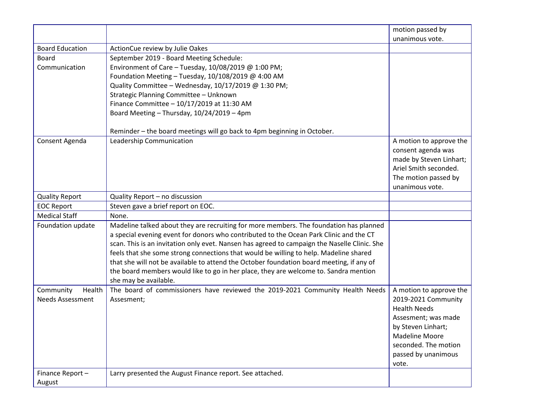|                         |                                                                                              | motion passed by        |
|-------------------------|----------------------------------------------------------------------------------------------|-------------------------|
|                         |                                                                                              | unanimous vote.         |
| <b>Board Education</b>  | ActionCue review by Julie Oakes                                                              |                         |
| <b>Board</b>            | September 2019 - Board Meeting Schedule:                                                     |                         |
| Communication           | Environment of Care - Tuesday, $10/08/2019$ @ 1:00 PM;                                       |                         |
|                         | Foundation Meeting - Tuesday, $10/108/2019$ @ 4:00 AM                                        |                         |
|                         | Quality Committee - Wednesday, 10/17/2019 @ 1:30 PM;                                         |                         |
|                         | Strategic Planning Committee - Unknown                                                       |                         |
|                         | Finance Committee - 10/17/2019 at 11:30 AM                                                   |                         |
|                         | Board Meeting - Thursday, 10/24/2019 - 4pm                                                   |                         |
|                         |                                                                                              |                         |
|                         | Reminder - the board meetings will go back to 4pm beginning in October.                      |                         |
| Consent Agenda          | Leadership Communication                                                                     | A motion to approve the |
|                         |                                                                                              | consent agenda was      |
|                         |                                                                                              | made by Steven Linhart; |
|                         |                                                                                              | Ariel Smith seconded.   |
|                         |                                                                                              | The motion passed by    |
|                         |                                                                                              | unanimous vote.         |
| <b>Quality Report</b>   | Quality Report - no discussion                                                               |                         |
| <b>EOC Report</b>       | Steven gave a brief report on EOC.                                                           |                         |
| <b>Medical Staff</b>    | None.                                                                                        |                         |
| Foundation update       | Madeline talked about they are recruiting for more members. The foundation has planned       |                         |
|                         | a special evening event for donors who contributed to the Ocean Park Clinic and the CT       |                         |
|                         | scan. This is an invitation only evet. Nansen has agreed to campaign the Naselle Clinic. She |                         |
|                         | feels that she some strong connections that would be willing to help. Madeline shared        |                         |
|                         | that she will not be available to attend the October foundation board meeting, if any of     |                         |
|                         | the board members would like to go in her place, they are welcome to. Sandra mention         |                         |
|                         | she may be available.                                                                        |                         |
| Community<br>Health     | The board of commissioners have reviewed the 2019-2021 Community Health Needs                | A motion to approve the |
| <b>Needs Assessment</b> | Assesment;                                                                                   | 2019-2021 Community     |
|                         |                                                                                              | <b>Health Needs</b>     |
|                         |                                                                                              | Assesment; was made     |
|                         |                                                                                              | by Steven Linhart;      |
|                         |                                                                                              | <b>Madeline Moore</b>   |
|                         |                                                                                              | seconded. The motion    |
|                         |                                                                                              | passed by unanimous     |
|                         |                                                                                              | vote.                   |
| Finance Report-         | Larry presented the August Finance report. See attached.                                     |                         |
| August                  |                                                                                              |                         |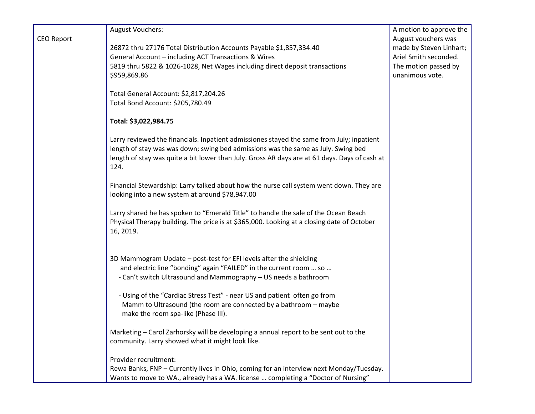|                   | <b>August Vouchers:</b>                                                                       | A motion to approve the |
|-------------------|-----------------------------------------------------------------------------------------------|-------------------------|
| <b>CEO Report</b> |                                                                                               | August vouchers was     |
|                   | 26872 thru 27176 Total Distribution Accounts Payable \$1,857,334.40                           | made by Steven Linhart; |
|                   | General Account - including ACT Transactions & Wires                                          | Ariel Smith seconded.   |
|                   | 5819 thru 5822 & 1026-1028, Net Wages including direct deposit transactions                   | The motion passed by    |
|                   | \$959,869.86                                                                                  | unanimous vote.         |
|                   |                                                                                               |                         |
|                   | Total General Account: \$2,817,204.26                                                         |                         |
|                   | Total Bond Account: \$205,780.49                                                              |                         |
|                   | Total: \$3,022,984.75                                                                         |                         |
|                   |                                                                                               |                         |
|                   | Larry reviewed the financials. Inpatient admissiones stayed the same from July; inpatient     |                         |
|                   | length of stay was was down; swing bed admissions was the same as July. Swing bed             |                         |
|                   | length of stay was quite a bit lower than July. Gross AR days are at 61 days. Days of cash at |                         |
|                   | 124.                                                                                          |                         |
|                   | Financial Stewardship: Larry talked about how the nurse call system went down. They are       |                         |
|                   | looking into a new system at around \$78,947.00                                               |                         |
|                   |                                                                                               |                         |
|                   | Larry shared he has spoken to "Emerald Title" to handle the sale of the Ocean Beach           |                         |
|                   | Physical Therapy building. The price is at \$365,000. Looking at a closing date of October    |                         |
|                   | 16, 2019.                                                                                     |                         |
|                   |                                                                                               |                         |
|                   |                                                                                               |                         |
|                   | 3D Mammogram Update - post-test for EFI levels after the shielding                            |                         |
|                   | and electric line "bonding" again "FAILED" in the current room  so                            |                         |
|                   | - Can't switch Ultrasound and Mammography - US needs a bathroom                               |                         |
|                   |                                                                                               |                         |
|                   | - Using of the "Cardiac Stress Test" - near US and patient often go from                      |                         |
|                   | Mamm to Ultrasound (the room are connected by a bathroom - maybe                              |                         |
|                   | make the room spa-like (Phase III).                                                           |                         |
|                   |                                                                                               |                         |
|                   | Marketing - Carol Zarhorsky will be developing a annual report to be sent out to the          |                         |
|                   | community. Larry showed what it might look like.                                              |                         |
|                   |                                                                                               |                         |
|                   | Provider recruitment:                                                                         |                         |
|                   | Rewa Banks, FNP - Currently lives in Ohio, coming for an interview next Monday/Tuesday.       |                         |
|                   | Wants to move to WA., already has a WA. license  completing a "Doctor of Nursing"             |                         |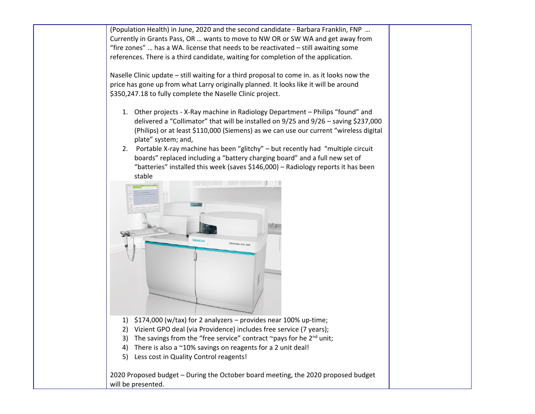(Population Health) in June, 2020 and the second candidate - Barbara Franklin, FNP … Currently in Grants Pass, OR … wants to move to NW OR or SW WA and get away from "fire zones" … has a WA. license that needs to be reactivated – still awaiting some references. There is a third candidate, waiting for completion of the application.

Naselle Clinic update – still waiting for a third proposal to come in. as it looks now the price has gone up from what Larry originally planned. It looks like it will be around \$350,247.18 to fully complete the Naselle Clinic project.

- 1. Other projects X-Ray machine in Radiology Department Philips "found" and delivered a "Collimator" that will be installed on 9/25 and 9/26 – saving \$237,000 (Philips) or at least \$110,000 (Siemens) as we can use our current "wireless digital plate" system; and,
- 2. Portable X-ray machine has been "glitchy" but recently had "multiple circuit boards" replaced including a "battery charging board" and a full new set of "batteries" installed this week (saves \$146,000) – Radiology reports it has been stable



- 3) The savings from the "free service" contract ~pays for he  $2^{nd}$  unit;
- 4) There is also a ~10% savings on reagents for a 2 unit deal!
- 5) Less cost in Quality Control reagents!

2020 Proposed budget – During the October board meeting, the 2020 proposed budget will be presented.